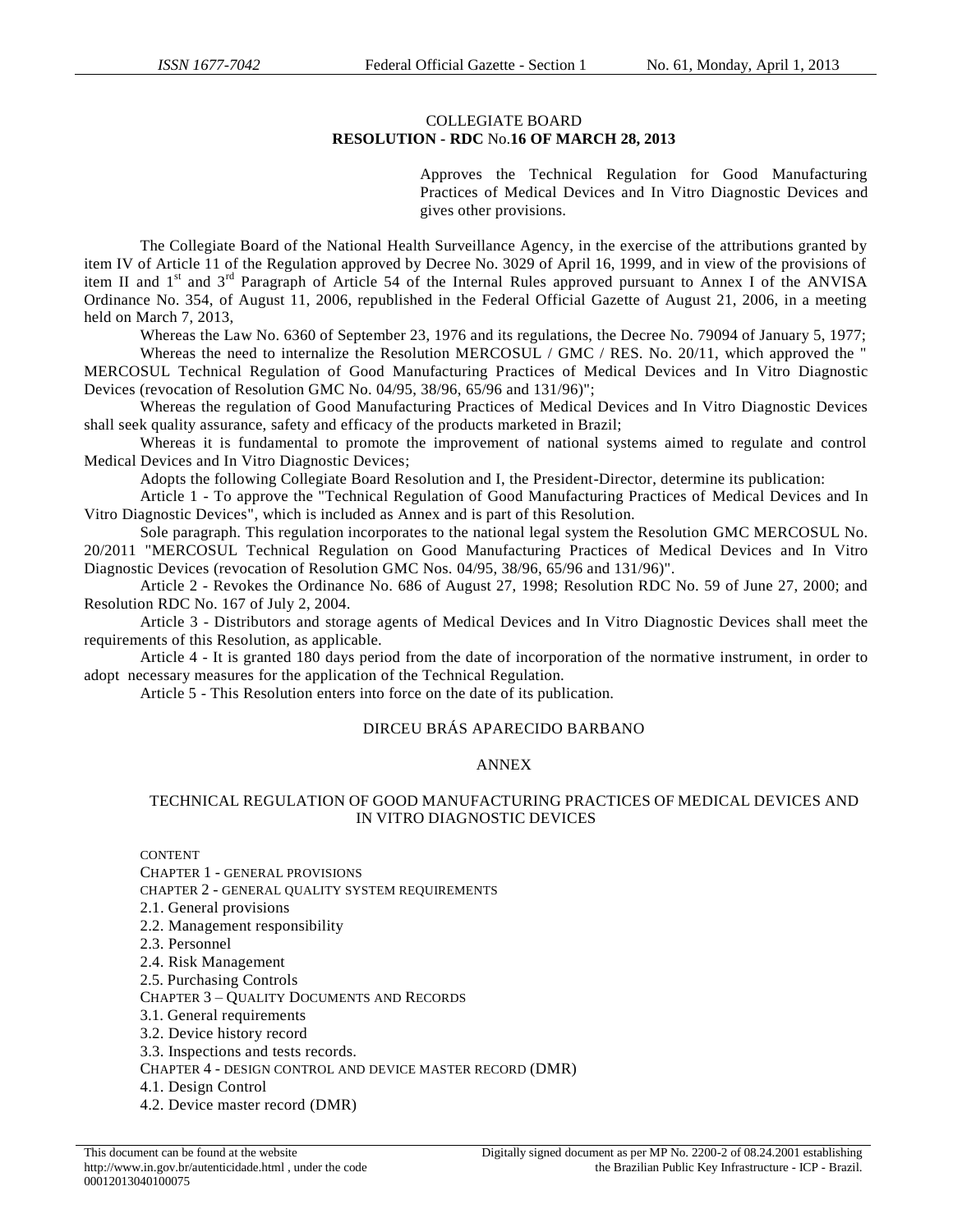### COLLEGIATE BOARD **RESOLUTION - RDC** No.**16 OF MARCH 28, 2013**

Approves the Technical Regulation for Good Manufacturing Practices of Medical Devices and In Vitro Diagnostic Devices and gives other provisions.

The Collegiate Board of the National Health Surveillance Agency, in the exercise of the attributions granted by item IV of Article 11 of the Regulation approved by Decree No. 3029 of April 16, 1999, and in view of the provisions of item II and 1<sup>st</sup> and 3<sup>rd</sup> Paragraph of Article 54 of the Internal Rules approved pursuant to Annex I of the ANVISA Ordinance No. 354, of August 11, 2006, republished in the Federal Official Gazette of August 21, 2006, in a meeting held on March 7, 2013,

Whereas the Law No. 6360 of September 23, 1976 and its regulations, the Decree No. 79094 of January 5, 1977; Whereas the need to internalize the Resolution MERCOSUL / GMC / RES. No. 20/11, which approved the "

MERCOSUL Technical Regulation of Good Manufacturing Practices of Medical Devices and In Vitro Diagnostic Devices (revocation of Resolution GMC No. 04/95, 38/96, 65/96 and 131/96)";

Whereas the regulation of Good Manufacturing Practices of Medical Devices and In Vitro Diagnostic Devices shall seek quality assurance, safety and efficacy of the products marketed in Brazil;

Whereas it is fundamental to promote the improvement of national systems aimed to regulate and control Medical Devices and In Vitro Diagnostic Devices;

Adopts the following Collegiate Board Resolution and I, the President-Director, determine its publication:

Article 1 - To approve the "Technical Regulation of Good Manufacturing Practices of Medical Devices and In Vitro Diagnostic Devices", which is included as Annex and is part of this Resolution.

Sole paragraph. This regulation incorporates to the national legal system the Resolution GMC MERCOSUL No. 20/2011 "MERCOSUL Technical Regulation on Good Manufacturing Practices of Medical Devices and In Vitro

Diagnostic Devices (revocation of Resolution GMC Nos. 04/95, 38/96, 65/96 and 131/96)". Article 2 - Revokes the Ordinance No. 686 of August 27, 1998; Resolution RDC No. 59 of June 27, 2000; and

Resolution RDC No. 167 of July 2, 2004.

Article 3 - Distributors and storage agents of Medical Devices and In Vitro Diagnostic Devices shall meet the requirements of this Resolution, as applicable.

Article 4 - It is granted 180 days period from the date of incorporation of the normative instrument, in order to adopt necessary measures for the application of the Technical Regulation.

Article 5 - This Resolution enters into force on the date of its publication.

# DIRCEU BRÁS APARECIDO BARBANO

### ANNEX

### TECHNICAL REGULATION OF GOOD MANUFACTURING PRACTICES OF MEDICAL DEVICES AND IN VITRO DIAGNOSTIC DEVICES

CONTENT

CHAPTER 1 - GENERAL PROVISIONS CHAPTER 2 - GENERAL QUALITY SYSTEM REQUIREMENTS 2.1. General provisions 2.2. Management responsibility 2.3. Personnel 2.4. Risk Management 2.5. Purchasing Controls CHAPTER 3 – QUALITY DOCUMENTS AND RECORDS 3.1. General requirements 3.2. Device history record 3.3. Inspections and tests records. CHAPTER 4 - DESIGN CONTROL AND DEVICE MASTER RECORD (DMR) 4.1. Design Control 4.2. Device master record (DMR)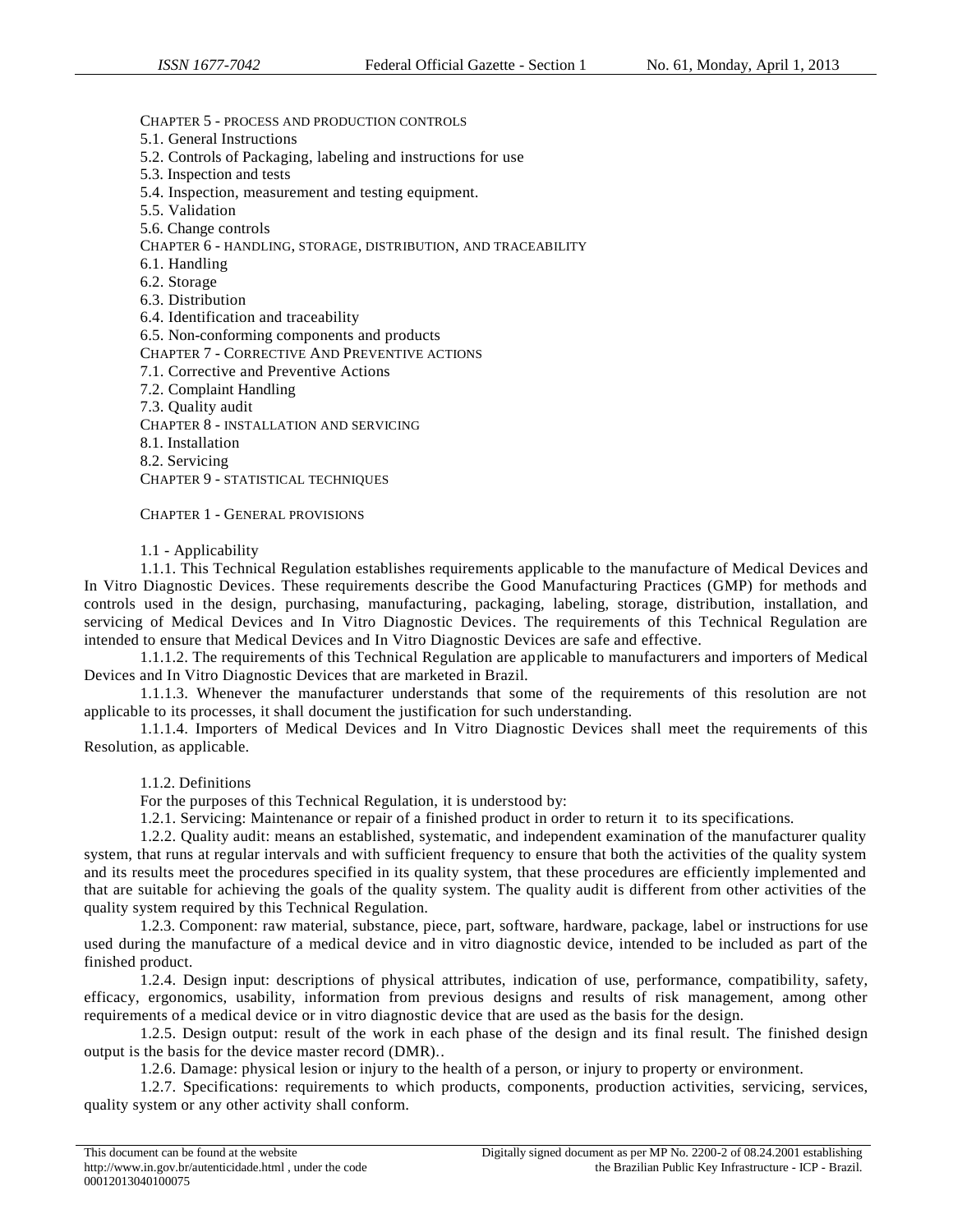### CHAPTER 5 - PROCESS AND PRODUCTION CONTROLS

- 5.1. General Instructions
- 5.2. Controls of Packaging, labeling and instructions for use
- 5.3. Inspection and tests
- 5.4. Inspection, measurement and testing equipment.
- 5.5. Validation
- 5.6. Change controls

CHAPTER 6 - HANDLING, STORAGE, DISTRIBUTION, AND TRACEABILITY

- 6.1. Handling
- 6.2. Storage
- 6.3. Distribution
- 6.4. Identification and traceability

6.5. Non-conforming components and products

CHAPTER 7 - CORRECTIVE AND PREVENTIVE ACTIONS

- 7.1. Corrective and Preventive Actions
- 7.2. Complaint Handling
- 7.3. Quality audit

CHAPTER 8 - INSTALLATION AND SERVICING

- 8.1. Installation
- 8.2. Servicing

CHAPTER 9 - STATISTICAL TECHNIQUES

CHAPTER 1 - GENERAL PROVISIONS

1.1 - Applicability

1.1.1. This Technical Regulation establishes requirements applicable to the manufacture of Medical Devices and In Vitro Diagnostic Devices. These requirements describe the Good Manufacturing Practices (GMP) for methods and controls used in the design, purchasing, manufacturing, packaging, labeling, storage, distribution, installation, and servicing of Medical Devices and In Vitro Diagnostic Devices. The requirements of this Technical Regulation are intended to ensure that Medical Devices and In Vitro Diagnostic Devices are safe and effective.

1.1.1.2. The requirements of this Technical Regulation are applicable to manufacturers and importers of Medical Devices and In Vitro Diagnostic Devices that are marketed in Brazil.

1.1.1.3. Whenever the manufacturer understands that some of the requirements of this resolution are not applicable to its processes, it shall document the justification for such understanding.

1.1.1.4. Importers of Medical Devices and In Vitro Diagnostic Devices shall meet the requirements of this Resolution, as applicable.

1.1.2. Definitions

For the purposes of this Technical Regulation, it is understood by:

1.2.1. Servicing: Maintenance or repair of a finished product in order to return it to its specifications.

1.2.2. Quality audit: means an established, systematic, and independent examination of the manufacturer quality system, that runs at regular intervals and with sufficient frequency to ensure that both the activities of the quality system and its results meet the procedures specified in its quality system, that these procedures are efficiently implemented and that are suitable for achieving the goals of the quality system. The quality audit is different from other activities of the quality system required by this Technical Regulation.

1.2.3. Component: raw material, substance, piece, part, software, hardware, package, label or instructions for use used during the manufacture of a medical device and in vitro diagnostic device, intended to be included as part of the finished product.

1.2.4. Design input: descriptions of physical attributes, indication of use, performance, compatibility, safety, efficacy, ergonomics, usability, information from previous designs and results of risk management, among other requirements of a medical device or in vitro diagnostic device that are used as the basis for the design.

1.2.5. Design output: result of the work in each phase of the design and its final result. The finished design output is the basis for the device master record (DMR)..

1.2.6. Damage: physical lesion or injury to the health of a person, or injury to property or environment.

1.2.7. Specifications: requirements to which products, components, production activities, servicing, services, quality system or any other activity shall conform.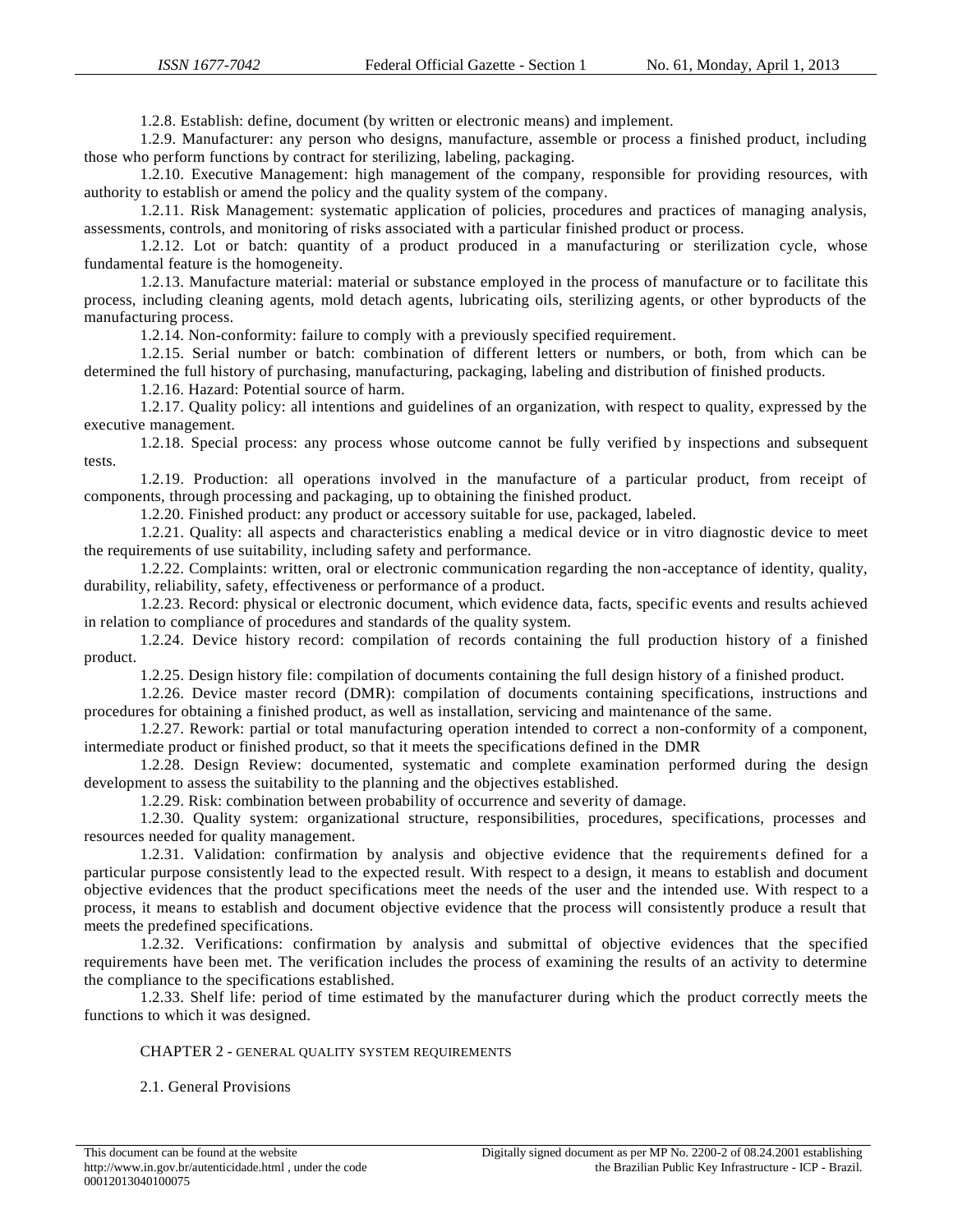1.2.8. Establish: define, document (by written or electronic means) and implement.

1.2.9. Manufacturer: any person who designs, manufacture, assemble or process a finished product, including those who perform functions by contract for sterilizing, labeling, packaging.

1.2.10. Executive Management: high management of the company, responsible for providing resources, with authority to establish or amend the policy and the quality system of the company.

1.2.11. Risk Management: systematic application of policies, procedures and practices of managing analysis, assessments, controls, and monitoring of risks associated with a particular finished product or process.

1.2.12. Lot or batch: quantity of a product produced in a manufacturing or sterilization cycle, whose fundamental feature is the homogeneity.

1.2.13. Manufacture material: material or substance employed in the process of manufacture or to facilitate this process, including cleaning agents, mold detach agents, lubricating oils, sterilizing agents, or other byproducts of the manufacturing process.

1.2.14. Non-conformity: failure to comply with a previously specified requirement.

1.2.15. Serial number or batch: combination of different letters or numbers, or both, from which can be determined the full history of purchasing, manufacturing, packaging, labeling and distribution of finished products.

1.2.16. Hazard: Potential source of harm.

1.2.17. Quality policy: all intentions and guidelines of an organization, with respect to quality, expressed by the executive management.

1.2.18. Special process: any process whose outcome cannot be fully verified by inspections and subsequent tests.

1.2.19. Production: all operations involved in the manufacture of a particular product, from receipt of components, through processing and packaging, up to obtaining the finished product.

1.2.20. Finished product: any product or accessory suitable for use, packaged, labeled.

1.2.21. Quality: all aspects and characteristics enabling a medical device or in vitro diagnostic device to meet the requirements of use suitability, including safety and performance.

1.2.22. Complaints: written, oral or electronic communication regarding the non-acceptance of identity, quality, durability, reliability, safety, effectiveness or performance of a product.

1.2.23. Record: physical or electronic document, which evidence data, facts, specific events and results achieved in relation to compliance of procedures and standards of the quality system.

1.2.24. Device history record: compilation of records containing the full production history of a finished product.

1.2.25. Design history file: compilation of documents containing the full design history of a finished product.

1.2.26. Device master record (DMR): compilation of documents containing specifications, instructions and procedures for obtaining a finished product, as well as installation, servicing and maintenance of the same.

1.2.27. Rework: partial or total manufacturing operation intended to correct a non-conformity of a component, intermediate product or finished product, so that it meets the specifications defined in the DMR

1.2.28. Design Review: documented, systematic and complete examination performed during the design development to assess the suitability to the planning and the objectives established.

1.2.29. Risk: combination between probability of occurrence and severity of damage.

1.2.30. Quality system: organizational structure, responsibilities, procedures, specifications, processes and resources needed for quality management.

1.2.31. Validation: confirmation by analysis and objective evidence that the requirements defined for a particular purpose consistently lead to the expected result. With respect to a design, it means to establish and document objective evidences that the product specifications meet the needs of the user and the intended use. With respect to a process, it means to establish and document objective evidence that the process will consistently produce a result that meets the predefined specifications.

1.2.32. Verifications: confirmation by analysis and submittal of objective evidences that the specified requirements have been met. The verification includes the process of examining the results of an activity to determine the compliance to the specifications established.

1.2.33. Shelf life: period of time estimated by the manufacturer during which the product correctly meets the functions to which it was designed.

#### CHAPTER 2 - GENERAL QUALITY SYSTEM REQUIREMENTS

2.1. General Provisions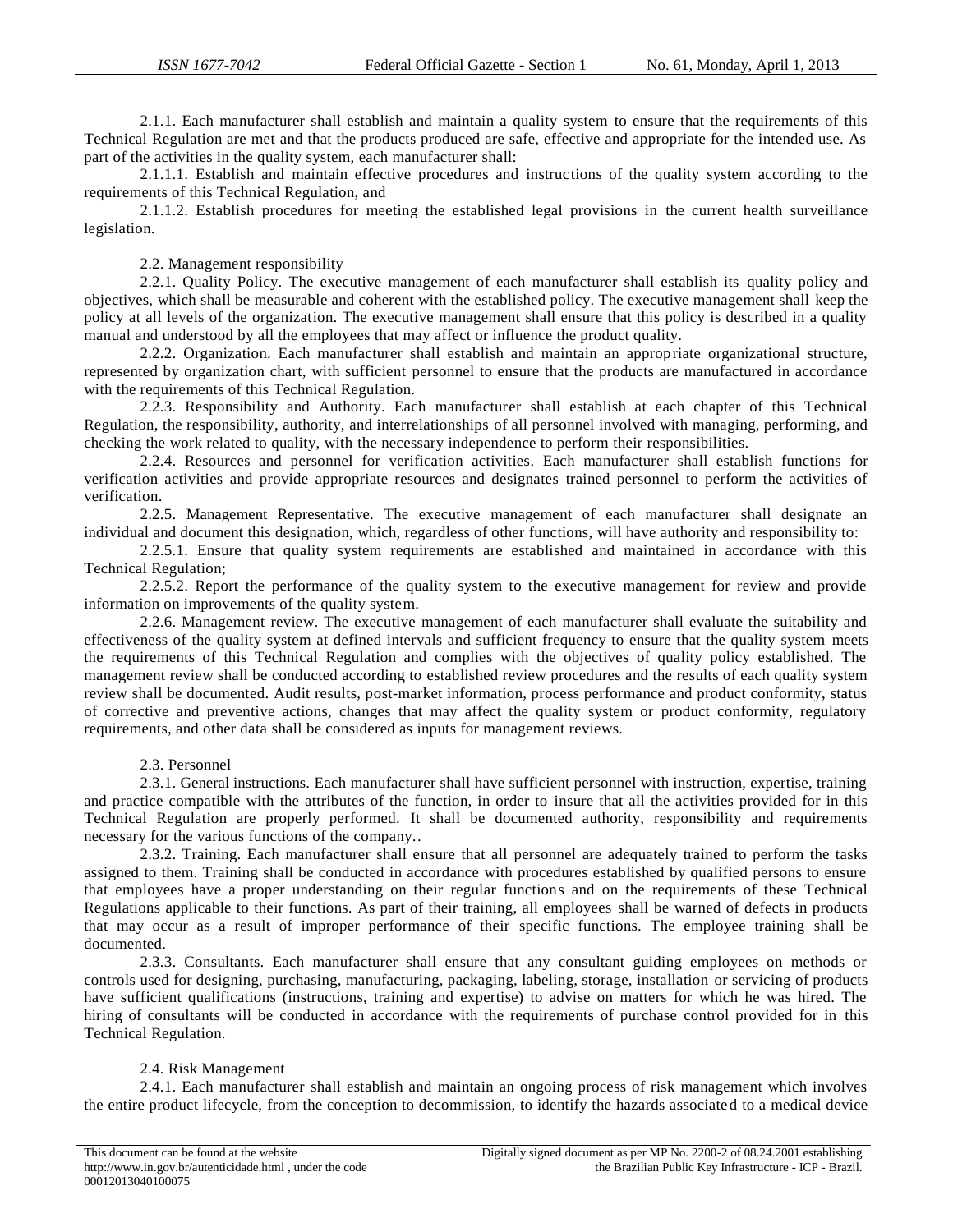2.1.1. Each manufacturer shall establish and maintain a quality system to ensure that the requirements of this Technical Regulation are met and that the products produced are safe, effective and appropriate for the intended use. As part of the activities in the quality system, each manufacturer shall:

2.1.1.1. Establish and maintain effective procedures and instructions of the quality system according to the requirements of this Technical Regulation, and

2.1.1.2. Establish procedures for meeting the established legal provisions in the current health surveillance legislation.

2.2. Management responsibility

2.2.1. Quality Policy. The executive management of each manufacturer shall establish its quality policy and objectives, which shall be measurable and coherent with the established policy. The executive management shall keep the policy at all levels of the organization. The executive management shall ensure that this policy is described in a quality manual and understood by all the employees that may affect or influence the product quality.

2.2.2. Organization. Each manufacturer shall establish and maintain an appropriate organizational structure, represented by organization chart, with sufficient personnel to ensure that the products are manufactured in accordance with the requirements of this Technical Regulation.

2.2.3. Responsibility and Authority. Each manufacturer shall establish at each chapter of this Technical Regulation, the responsibility, authority, and interrelationships of all personnel involved with managing, performing, and checking the work related to quality, with the necessary independence to perform their responsibilities.

2.2.4. Resources and personnel for verification activities. Each manufacturer shall establish functions for verification activities and provide appropriate resources and designates trained personnel to perform the activities of verification.

2.2.5. Management Representative. The executive management of each manufacturer shall designate an individual and document this designation, which, regardless of other functions, will have authority and responsibility to:

2.2.5.1. Ensure that quality system requirements are established and maintained in accordance with this Technical Regulation;

2.2.5.2. Report the performance of the quality system to the executive management for review and provide information on improvements of the quality system.

2.2.6. Management review. The executive management of each manufacturer shall evaluate the suitability and effectiveness of the quality system at defined intervals and sufficient frequency to ensure that the quality system meets the requirements of this Technical Regulation and complies with the objectives of quality policy established. The management review shall be conducted according to established review procedures and the results of each quality system review shall be documented. Audit results, post-market information, process performance and product conformity, status of corrective and preventive actions, changes that may affect the quality system or product conformity, regulatory requirements, and other data shall be considered as inputs for management reviews.

### 2.3. Personnel

2.3.1. General instructions. Each manufacturer shall have sufficient personnel with instruction, expertise, training and practice compatible with the attributes of the function, in order to insure that all the activities provided for in this Technical Regulation are properly performed. It shall be documented authority, responsibility and requirements necessary for the various functions of the company..

2.3.2. Training. Each manufacturer shall ensure that all personnel are adequately trained to perform the tasks assigned to them. Training shall be conducted in accordance with procedures established by qualified persons to ensure that employees have a proper understanding on their regular functions and on the requirements of these Technical Regulations applicable to their functions. As part of their training, all employees shall be warned of defects in products that may occur as a result of improper performance of their specific functions. The employee training shall be documented.

2.3.3. Consultants. Each manufacturer shall ensure that any consultant guiding employees on methods or controls used for designing, purchasing, manufacturing, packaging, labeling, storage, installation or servicing of products have sufficient qualifications (instructions, training and expertise) to advise on matters for which he was hired. The hiring of consultants will be conducted in accordance with the requirements of purchase control provided for in this Technical Regulation.

### 2.4. Risk Management

2.4.1. Each manufacturer shall establish and maintain an ongoing process of risk management which involves the entire product lifecycle, from the conception to decommission, to identify the hazards associate d to a medical device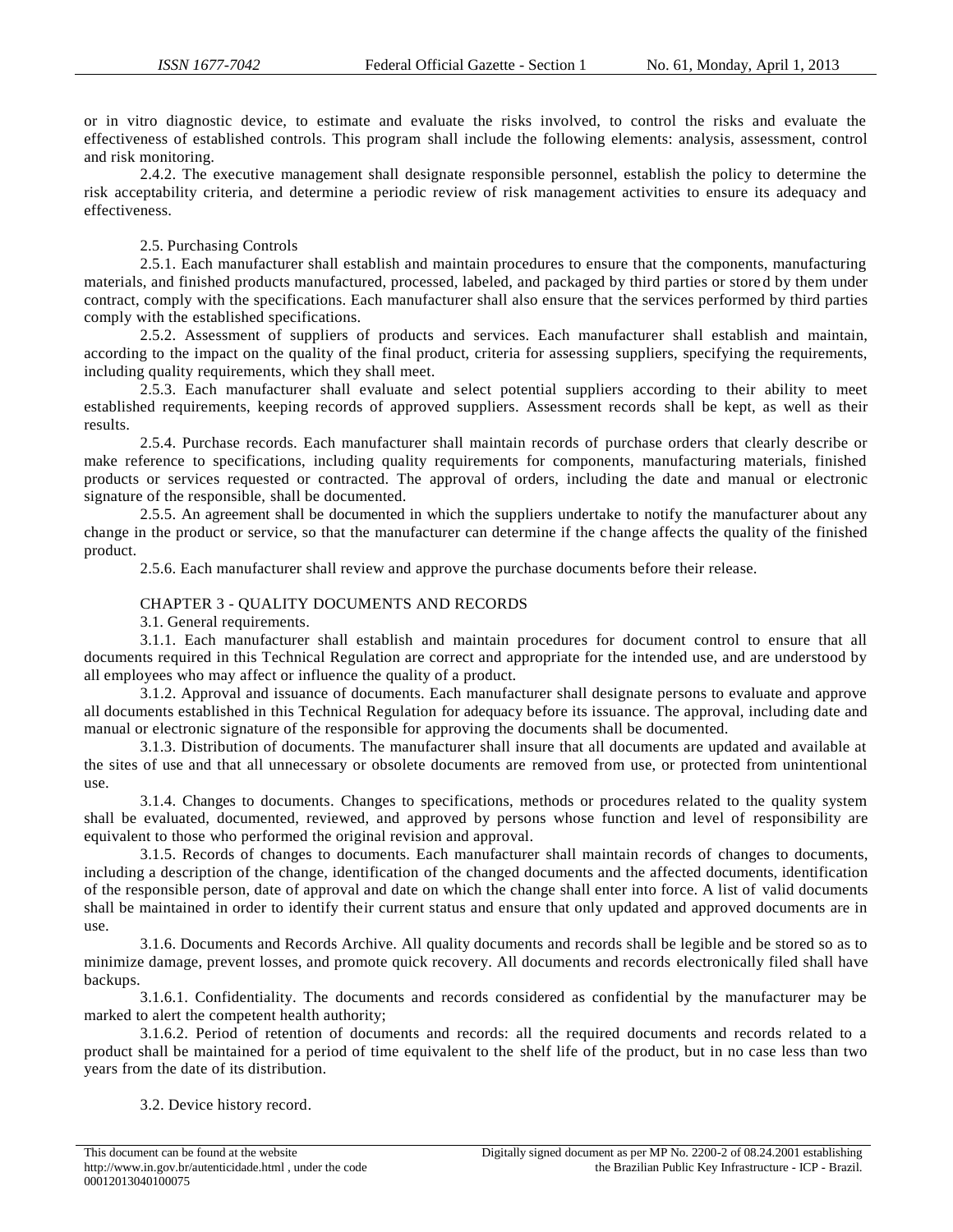or in vitro diagnostic device, to estimate and evaluate the risks involved, to control the risks and evaluate the effectiveness of established controls. This program shall include the following elements: analysis, assessment, control and risk monitoring.

2.4.2. The executive management shall designate responsible personnel, establish the policy to determine the risk acceptability criteria, and determine a periodic review of risk management activities to ensure its adequacy and effectiveness.

#### 2.5. Purchasing Controls

2.5.1. Each manufacturer shall establish and maintain procedures to ensure that the components, manufacturing materials, and finished products manufactured, processed, labeled, and packaged by third parties or store d by them under contract, comply with the specifications. Each manufacturer shall also ensure that the services performed by third parties comply with the established specifications.

2.5.2. Assessment of suppliers of products and services. Each manufacturer shall establish and maintain, according to the impact on the quality of the final product, criteria for assessing suppliers, specifying the requirements, including quality requirements, which they shall meet.

2.5.3. Each manufacturer shall evaluate and select potential suppliers according to their ability to meet established requirements, keeping records of approved suppliers. Assessment records shall be kept, as well as their results.

2.5.4. Purchase records. Each manufacturer shall maintain records of purchase orders that clearly describe or make reference to specifications, including quality requirements for components, manufacturing materials, finished products or services requested or contracted. The approval of orders, including the date and manual or electronic signature of the responsible, shall be documented.

2.5.5. An agreement shall be documented in which the suppliers undertake to notify the manufacturer about any change in the product or service, so that the manufacturer can determine if the change affects the quality of the finished product.

2.5.6. Each manufacturer shall review and approve the purchase documents before their release.

### CHAPTER 3 - QUALITY DOCUMENTS AND RECORDS

3.1. General requirements.

3.1.1. Each manufacturer shall establish and maintain procedures for document control to ensure that all documents required in this Technical Regulation are correct and appropriate for the intended use, and are understood by all employees who may affect or influence the quality of a product.

3.1.2. Approval and issuance of documents. Each manufacturer shall designate persons to evaluate and approve all documents established in this Technical Regulation for adequacy before its issuance. The approval, including date and manual or electronic signature of the responsible for approving the documents shall be documented.

3.1.3. Distribution of documents. The manufacturer shall insure that all documents are updated and available at the sites of use and that all unnecessary or obsolete documents are removed from use, or protected from unintentional use.

3.1.4. Changes to documents. Changes to specifications, methods or procedures related to the quality system shall be evaluated, documented, reviewed, and approved by persons whose function and level of responsibility are equivalent to those who performed the original revision and approval.

3.1.5. Records of changes to documents. Each manufacturer shall maintain records of changes to documents, including a description of the change, identification of the changed documents and the affected documents, identification of the responsible person, date of approval and date on which the change shall enter into force. A list of valid documents shall be maintained in order to identify their current status and ensure that only updated and approved documents are in use.

3.1.6. Documents and Records Archive. All quality documents and records shall be legible and be stored so as to minimize damage, prevent losses, and promote quick recovery. All documents and records electronically filed shall have backups.

3.1.6.1. Confidentiality. The documents and records considered as confidential by the manufacturer may be marked to alert the competent health authority;

3.1.6.2. Period of retention of documents and records: all the required documents and records related to a product shall be maintained for a period of time equivalent to the shelf life of the product, but in no case less than two years from the date of its distribution.

3.2. Device history record.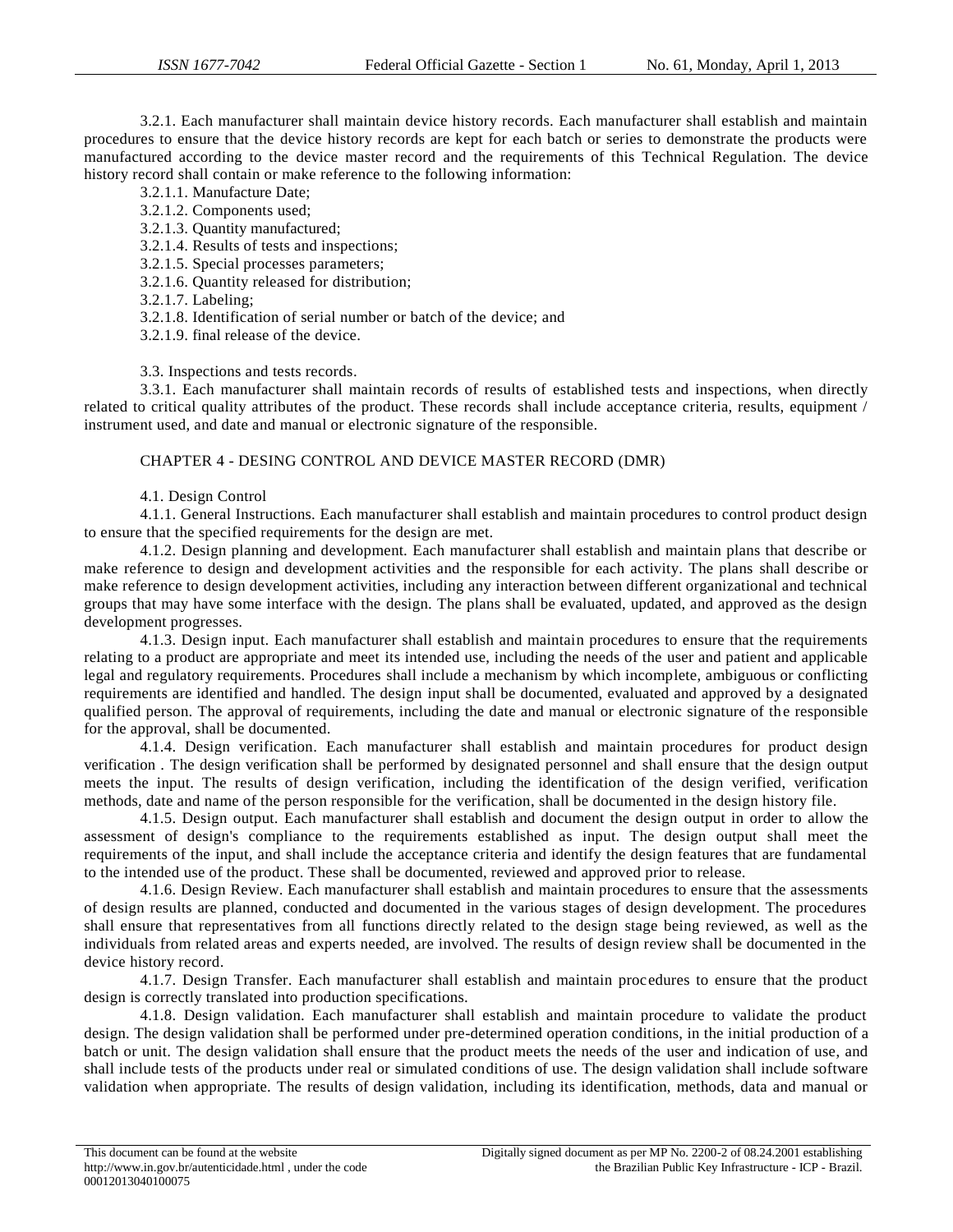3.2.1. Each manufacturer shall maintain device history records. Each manufacturer shall establish and maintain procedures to ensure that the device history records are kept for each batch or series to demonstrate the products were manufactured according to the device master record and the requirements of this Technical Regulation. The device history record shall contain or make reference to the following information:

- 3.2.1.1. Manufacture Date;
- 3.2.1.2. Components used;
- 3.2.1.3. Quantity manufactured;
- 3.2.1.4. Results of tests and inspections;
- 3.2.1.5. Special processes parameters;
- 3.2.1.6. Quantity released for distribution;
- 3.2.1.7. Labeling;
- 3.2.1.8. Identification of serial number or batch of the device; and
- 3.2.1.9. final release of the device.

3.3. Inspections and tests records.

3.3.1. Each manufacturer shall maintain records of results of established tests and inspections, when directly related to critical quality attributes of the product. These records shall include acceptance criteria, results, equipment / instrument used, and date and manual or electronic signature of the responsible.

## CHAPTER 4 - DESING CONTROL AND DEVICE MASTER RECORD (DMR)

### 4.1. Design Control

4.1.1. General Instructions. Each manufacturer shall establish and maintain procedures to control product design to ensure that the specified requirements for the design are met.

4.1.2. Design planning and development. Each manufacturer shall establish and maintain plans that describe or make reference to design and development activities and the responsible for each activity. The plans shall describe or make reference to design development activities, including any interaction between different organizational and technical groups that may have some interface with the design. The plans shall be evaluated, updated, and approved as the design development progresses.

4.1.3. Design input. Each manufacturer shall establish and maintain procedures to ensure that the requirements relating to a product are appropriate and meet its intended use, including the needs of the user and patient and applicable legal and regulatory requirements. Procedures shall include a mechanism by which incomplete, ambiguous or conflicting requirements are identified and handled. The design input shall be documented, evaluated and approved by a designated qualified person. The approval of requirements, including the date and manual or electronic signature of the responsible for the approval, shall be documented.

4.1.4. Design verification. Each manufacturer shall establish and maintain procedures for product design verification . The design verification shall be performed by designated personnel and shall ensure that the design output meets the input. The results of design verification, including the identification of the design verified, verification methods, date and name of the person responsible for the verification, shall be documented in the design history file.

4.1.5. Design output. Each manufacturer shall establish and document the design output in order to allow the assessment of design's compliance to the requirements established as input. The design output shall meet the requirements of the input, and shall include the acceptance criteria and identify the design features that are fundamental to the intended use of the product. These shall be documented, reviewed and approved prior to release.

4.1.6. Design Review. Each manufacturer shall establish and maintain procedures to ensure that the assessments of design results are planned, conducted and documented in the various stages of design development. The procedures shall ensure that representatives from all functions directly related to the design stage being reviewed, as well as the individuals from related areas and experts needed, are involved. The results of design review shall be documented in the device history record.

4.1.7. Design Transfer. Each manufacturer shall establish and maintain procedures to ensure that the product design is correctly translated into production specifications.

4.1.8. Design validation. Each manufacturer shall establish and maintain procedure to validate the product design. The design validation shall be performed under pre-determined operation conditions, in the initial production of a batch or unit. The design validation shall ensure that the product meets the needs of the user and indication of use, and shall include tests of the products under real or simulated conditions of use. The design validation shall include software validation when appropriate. The results of design validation, including its identification, methods, data and manual or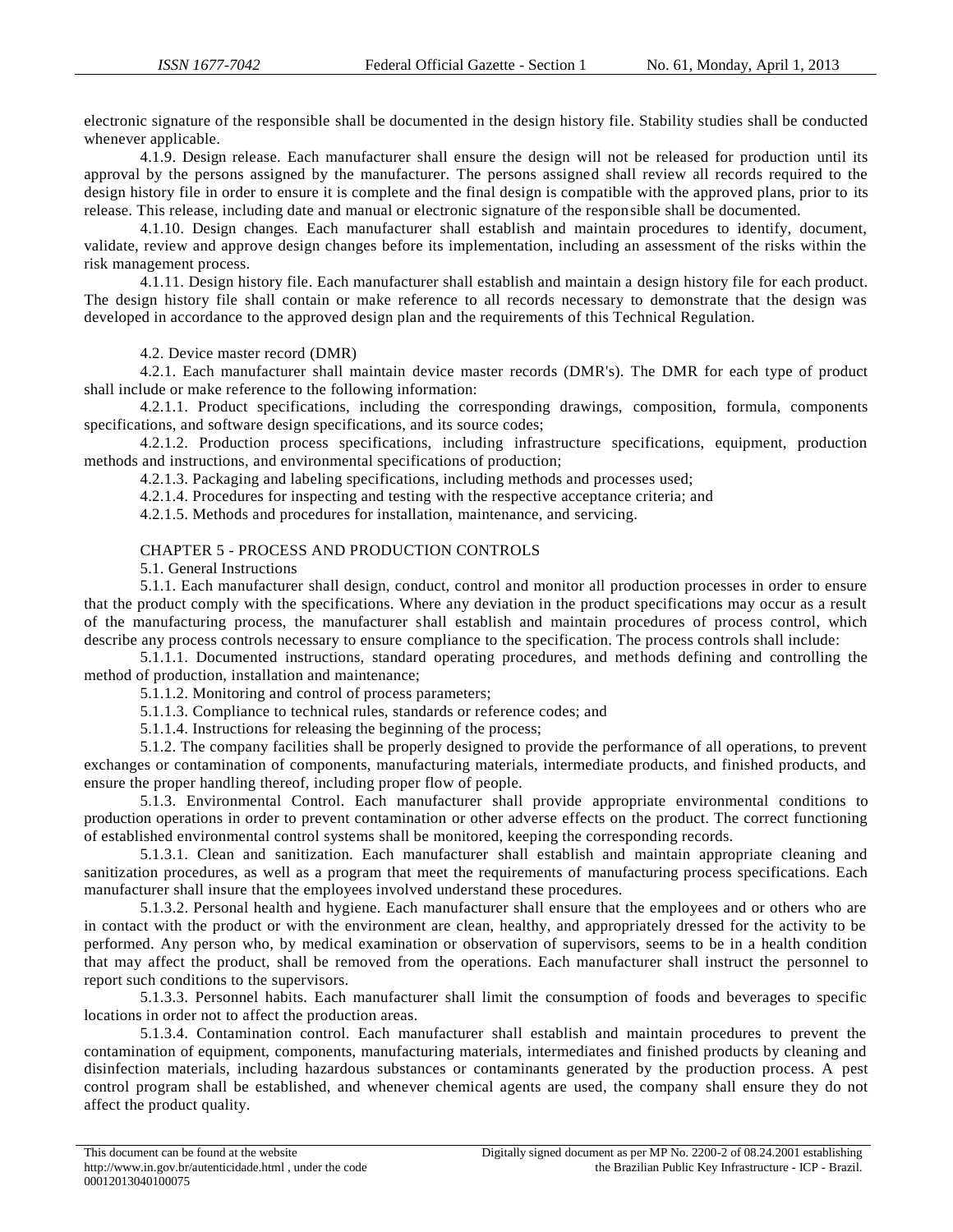electronic signature of the responsible shall be documented in the design history file. Stability studies shall be conducted whenever applicable.

4.1.9. Design release. Each manufacturer shall ensure the design will not be released for production until its approval by the persons assigned by the manufacturer. The persons assigned shall review all records required to the design history file in order to ensure it is complete and the final design is compatible with the approved plans, prior to its release. This release, including date and manual or electronic signature of the responsible shall be documented.

4.1.10. Design changes. Each manufacturer shall establish and maintain procedures to identify, document, validate, review and approve design changes before its implementation, including an assessment of the risks within the risk management process.

4.1.11. Design history file. Each manufacturer shall establish and maintain a design history file for each product. The design history file shall contain or make reference to all records necessary to demonstrate that the design was developed in accordance to the approved design plan and the requirements of this Technical Regulation.

4.2. Device master record (DMR)

4.2.1. Each manufacturer shall maintain device master records (DMR's). The DMR for each type of product shall include or make reference to the following information:

4.2.1.1. Product specifications, including the corresponding drawings, composition, formula, components specifications, and software design specifications, and its source codes;

4.2.1.2. Production process specifications, including infrastructure specifications, equipment, production methods and instructions, and environmental specifications of production;

4.2.1.3. Packaging and labeling specifications, including methods and processes used;

4.2.1.4. Procedures for inspecting and testing with the respective acceptance criteria; and

4.2.1.5. Methods and procedures for installation, maintenance, and servicing.

#### CHAPTER 5 - PROCESS AND PRODUCTION CONTROLS

5.1. General Instructions

5.1.1. Each manufacturer shall design, conduct, control and monitor all production processes in order to ensure that the product comply with the specifications. Where any deviation in the product specifications may occur as a result of the manufacturing process, the manufacturer shall establish and maintain procedures of process control, which describe any process controls necessary to ensure compliance to the specification. The process controls shall include:

5.1.1.1. Documented instructions, standard operating procedures, and methods defining and controlling the method of production, installation and maintenance;

5.1.1.2. Monitoring and control of process parameters;

5.1.1.3. Compliance to technical rules, standards or reference codes; and

5.1.1.4. Instructions for releasing the beginning of the process;

5.1.2. The company facilities shall be properly designed to provide the performance of all operations, to prevent exchanges or contamination of components, manufacturing materials, intermediate products, and finished products, and ensure the proper handling thereof, including proper flow of people.

5.1.3. Environmental Control. Each manufacturer shall provide appropriate environmental conditions to production operations in order to prevent contamination or other adverse effects on the product. The correct functioning of established environmental control systems shall be monitored, keeping the corresponding records.

5.1.3.1. Clean and sanitization. Each manufacturer shall establish and maintain appropriate cleaning and sanitization procedures, as well as a program that meet the requirements of manufacturing process specifications. Each manufacturer shall insure that the employees involved understand these procedures.

5.1.3.2. Personal health and hygiene. Each manufacturer shall ensure that the employees and or others who are in contact with the product or with the environment are clean, healthy, and appropriately dressed for the activity to be performed. Any person who, by medical examination or observation of supervisors, seems to be in a health condition that may affect the product, shall be removed from the operations. Each manufacturer shall instruct the personnel to report such conditions to the supervisors.

5.1.3.3. Personnel habits. Each manufacturer shall limit the consumption of foods and beverages to specific locations in order not to affect the production areas.

5.1.3.4. Contamination control. Each manufacturer shall establish and maintain procedures to prevent the contamination of equipment, components, manufacturing materials, intermediates and finished products by cleaning and disinfection materials, including hazardous substances or contaminants generated by the production process. A pest control program shall be established, and whenever chemical agents are used, the company shall ensure they do not affect the product quality.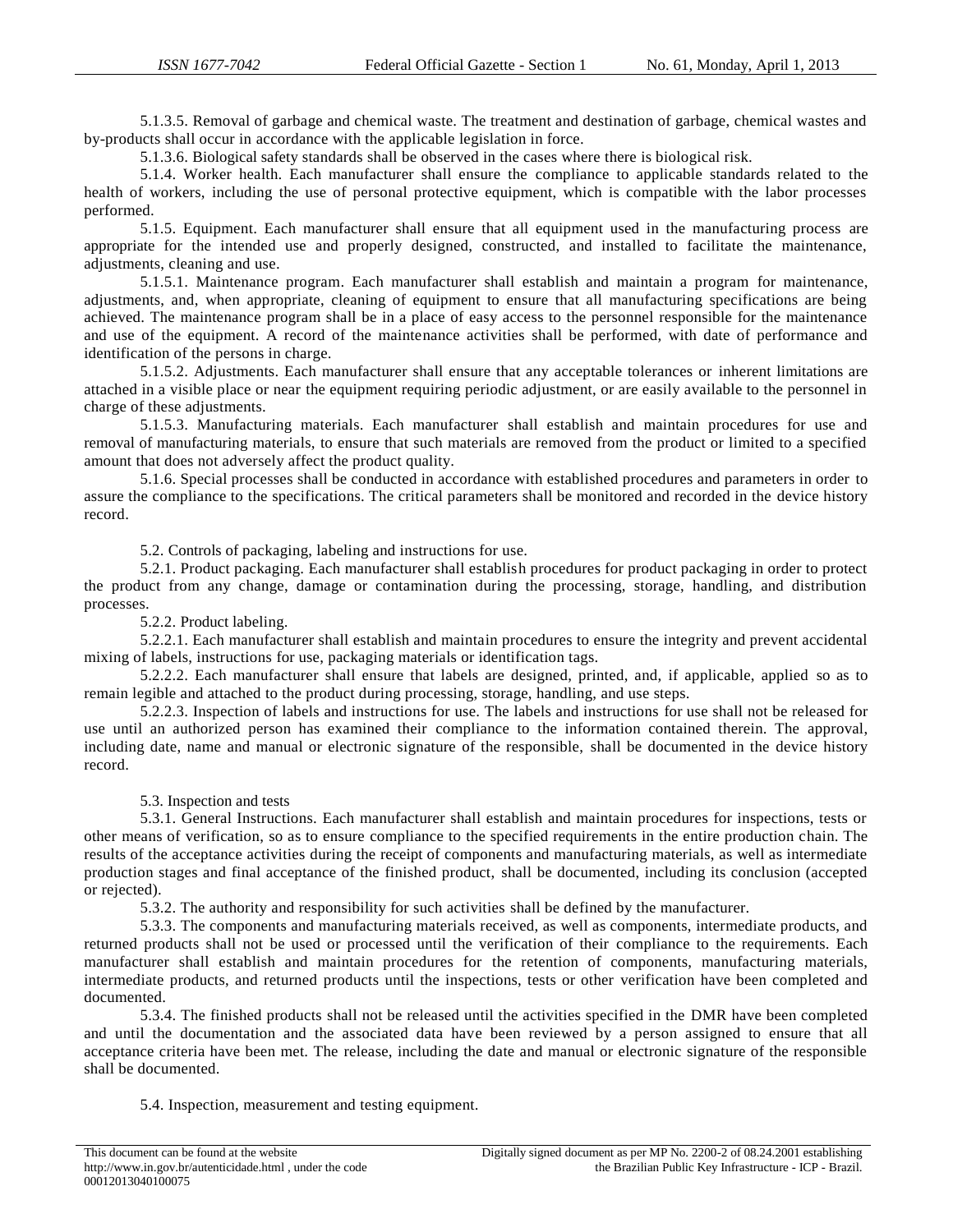5.1.3.5. Removal of garbage and chemical waste. The treatment and destination of garbage, chemical wastes and by-products shall occur in accordance with the applicable legislation in force.

5.1.3.6. Biological safety standards shall be observed in the cases where there is biological risk.

5.1.4. Worker health. Each manufacturer shall ensure the compliance to applicable standards related to the health of workers, including the use of personal protective equipment, which is compatible with the labor processes performed.

5.1.5. Equipment. Each manufacturer shall ensure that all equipment used in the manufacturing process are appropriate for the intended use and properly designed, constructed, and installed to facilitate the maintenance, adjustments, cleaning and use.

5.1.5.1. Maintenance program. Each manufacturer shall establish and maintain a program for maintenance, adjustments, and, when appropriate, cleaning of equipment to ensure that all manufacturing specifications are being achieved. The maintenance program shall be in a place of easy access to the personnel responsible for the maintenance and use of the equipment. A record of the maintenance activities shall be performed, with date of performance and identification of the persons in charge.

5.1.5.2. Adjustments. Each manufacturer shall ensure that any acceptable tolerances or inherent limitations are attached in a visible place or near the equipment requiring periodic adjustment, or are easily available to the personnel in charge of these adjustments.

5.1.5.3. Manufacturing materials. Each manufacturer shall establish and maintain procedures for use and removal of manufacturing materials, to ensure that such materials are removed from the product or limited to a specified amount that does not adversely affect the product quality.

5.1.6. Special processes shall be conducted in accordance with established procedures and parameters in order to assure the compliance to the specifications. The critical parameters shall be monitored and recorded in the device history record.

5.2. Controls of packaging, labeling and instructions for use.

5.2.1. Product packaging. Each manufacturer shall establish procedures for product packaging in order to protect the product from any change, damage or contamination during the processing, storage, handling, and distribution processes.

5.2.2. Product labeling.

5.2.2.1. Each manufacturer shall establish and maintain procedures to ensure the integrity and prevent accidental mixing of labels, instructions for use, packaging materials or identification tags.

5.2.2.2. Each manufacturer shall ensure that labels are designed, printed, and, if applicable, applied so as to remain legible and attached to the product during processing, storage, handling, and use steps.

5.2.2.3. Inspection of labels and instructions for use. The labels and instructions for use shall not be released for use until an authorized person has examined their compliance to the information contained therein. The approval, including date, name and manual or electronic signature of the responsible, shall be documented in the device history record.

5.3. Inspection and tests

5.3.1. General Instructions. Each manufacturer shall establish and maintain procedures for inspections, tests or other means of verification, so as to ensure compliance to the specified requirements in the entire production chain. The results of the acceptance activities during the receipt of components and manufacturing materials, as well as intermediate production stages and final acceptance of the finished product, shall be documented, including its conclusion (accepted or rejected).

5.3.2. The authority and responsibility for such activities shall be defined by the manufacturer.

5.3.3. The components and manufacturing materials received, as well as components, intermediate products, and returned products shall not be used or processed until the verification of their compliance to the requirements. Each manufacturer shall establish and maintain procedures for the retention of components, manufacturing materials, intermediate products, and returned products until the inspections, tests or other verification have been completed and documented.

5.3.4. The finished products shall not be released until the activities specified in the DMR have been completed and until the documentation and the associated data have been reviewed by a person assigned to ensure that all acceptance criteria have been met. The release, including the date and manual or electronic signature of the responsible shall be documented.

#### 5.4. Inspection, measurement and testing equipment.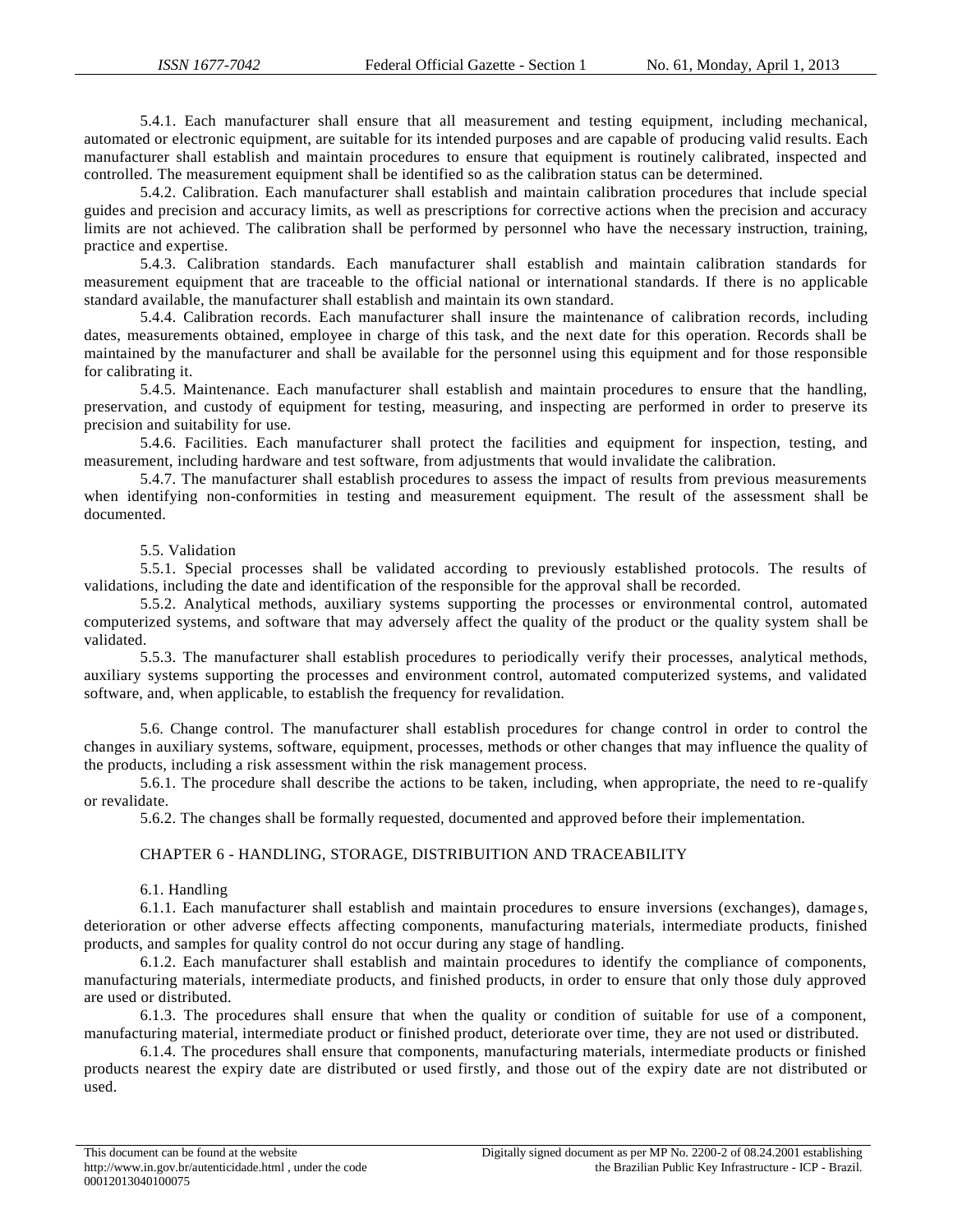5.4.1. Each manufacturer shall ensure that all measurement and testing equipment, including mechanical, automated or electronic equipment, are suitable for its intended purposes and are capable of producing valid results. Each manufacturer shall establish and maintain procedures to ensure that equipment is routinely calibrated, inspected and controlled. The measurement equipment shall be identified so as the calibration status can be determined.

5.4.2. Calibration. Each manufacturer shall establish and maintain calibration procedures that include special guides and precision and accuracy limits, as well as prescriptions for corrective actions when the precision and accuracy limits are not achieved. The calibration shall be performed by personnel who have the necessary instruction, training, practice and expertise.

5.4.3. Calibration standards. Each manufacturer shall establish and maintain calibration standards for measurement equipment that are traceable to the official national or international standards. If there is no applicable standard available, the manufacturer shall establish and maintain its own standard.

5.4.4. Calibration records. Each manufacturer shall insure the maintenance of calibration records, including dates, measurements obtained, employee in charge of this task, and the next date for this operation. Records shall be maintained by the manufacturer and shall be available for the personnel using this equipment and for those responsible for calibrating it.

5.4.5. Maintenance. Each manufacturer shall establish and maintain procedures to ensure that the handling, preservation, and custody of equipment for testing, measuring, and inspecting are performed in order to preserve its precision and suitability for use.

5.4.6. Facilities. Each manufacturer shall protect the facilities and equipment for inspection, testing, and measurement, including hardware and test software, from adjustments that would invalidate the calibration.

5.4.7. The manufacturer shall establish procedures to assess the impact of results from previous measurements when identifying non-conformities in testing and measurement equipment. The result of the assessment shall be documented.

#### 5.5. Validation

5.5.1. Special processes shall be validated according to previously established protocols. The results of validations, including the date and identification of the responsible for the approval shall be recorded.

5.5.2. Analytical methods, auxiliary systems supporting the processes or environmental control, automated computerized systems, and software that may adversely affect the quality of the product or the quality system shall be validated.

5.5.3. The manufacturer shall establish procedures to periodically verify their processes, analytical methods, auxiliary systems supporting the processes and environment control, automated computerized systems, and validated software, and, when applicable, to establish the frequency for revalidation.

5.6. Change control. The manufacturer shall establish procedures for change control in order to control the changes in auxiliary systems, software, equipment, processes, methods or other changes that may influence the quality of the products, including a risk assessment within the risk management process.

5.6.1. The procedure shall describe the actions to be taken, including, when appropriate, the need to re -qualify or revalidate.

5.6.2. The changes shall be formally requested, documented and approved before their implementation.

### CHAPTER 6 - HANDLING, STORAGE, DISTRIBUITION AND TRACEABILITY

#### 6.1. Handling

6.1.1. Each manufacturer shall establish and maintain procedures to ensure inversions (exchanges), damage s, deterioration or other adverse effects affecting components, manufacturing materials, intermediate products, finished products, and samples for quality control do not occur during any stage of handling.

6.1.2. Each manufacturer shall establish and maintain procedures to identify the compliance of components, manufacturing materials, intermediate products, and finished products, in order to ensure that only those duly approved are used or distributed.

6.1.3. The procedures shall ensure that when the quality or condition of suitable for use of a component, manufacturing material, intermediate product or finished product, deteriorate over time, they are not used or distributed.

6.1.4. The procedures shall ensure that components, manufacturing materials, intermediate products or finished products nearest the expiry date are distributed or used firstly, and those out of the expiry date are not distributed or used.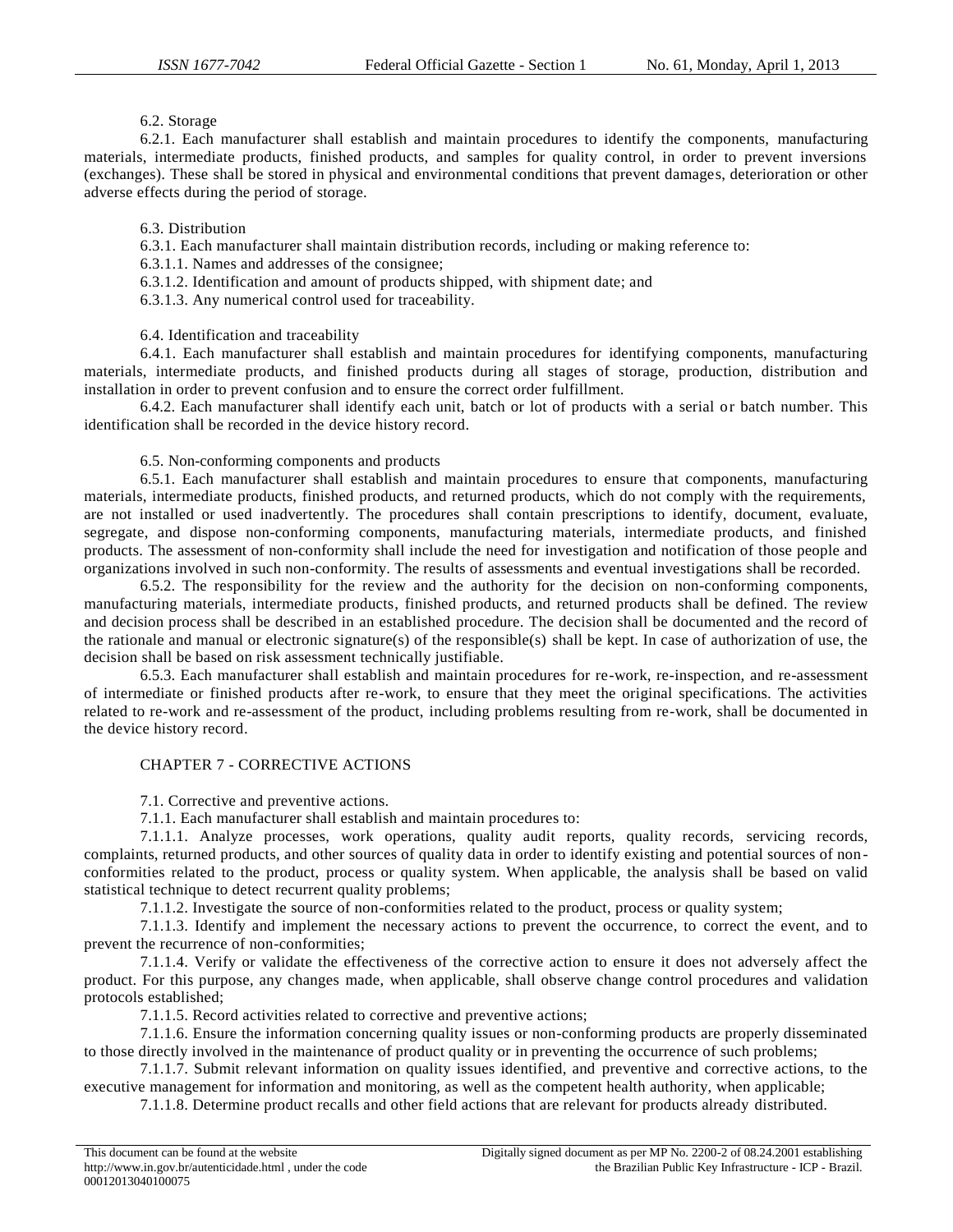## 6.2. Storage

6.2.1. Each manufacturer shall establish and maintain procedures to identify the components, manufacturing materials, intermediate products, finished products, and samples for quality control, in order to prevent inversions (exchanges). These shall be stored in physical and environmental conditions that prevent damages, deterioration or other adverse effects during the period of storage.

### 6.3. Distribution

6.3.1. Each manufacturer shall maintain distribution records, including or making reference to:

6.3.1.1. Names and addresses of the consignee;

6.3.1.2. Identification and amount of products shipped, with shipment date; and

6.3.1.3. Any numerical control used for traceability.

6.4. Identification and traceability

6.4.1. Each manufacturer shall establish and maintain procedures for identifying components, manufacturing materials, intermediate products, and finished products during all stages of storage, production, distribution and installation in order to prevent confusion and to ensure the correct order fulfillment.

6.4.2. Each manufacturer shall identify each unit, batch or lot of products with a serial or batch number. This identification shall be recorded in the device history record.

6.5. Non-conforming components and products

6.5.1. Each manufacturer shall establish and maintain procedures to ensure that components, manufacturing materials, intermediate products, finished products, and returned products, which do not comply with the requirements, are not installed or used inadvertently. The procedures shall contain prescriptions to identify, document, evaluate, segregate, and dispose non-conforming components, manufacturing materials, intermediate products, and finished products. The assessment of non-conformity shall include the need for investigation and notification of those people and organizations involved in such non-conformity. The results of assessments and eventual investigations shall be recorded.

6.5.2. The responsibility for the review and the authority for the decision on non-conforming components, manufacturing materials, intermediate products, finished products, and returned products shall be defined. The review and decision process shall be described in an established procedure. The decision shall be documented and the record of the rationale and manual or electronic signature(s) of the responsible(s) shall be kept. In case of authorization of use, the decision shall be based on risk assessment technically justifiable.

6.5.3. Each manufacturer shall establish and maintain procedures for re-work, re-inspection, and re-assessment of intermediate or finished products after re-work, to ensure that they meet the original specifications. The activities related to re-work and re-assessment of the product, including problems resulting from re-work, shall be documented in the device history record.

### CHAPTER 7 - CORRECTIVE ACTIONS

7.1. Corrective and preventive actions.

7.1.1. Each manufacturer shall establish and maintain procedures to:

7.1.1.1. Analyze processes, work operations, quality audit reports, quality records, servicing records, complaints, returned products, and other sources of quality data in order to identify existing and potential sources of nonconformities related to the product, process or quality system. When applicable, the analysis shall be based on valid statistical technique to detect recurrent quality problems;

7.1.1.2. Investigate the source of non-conformities related to the product, process or quality system;

7.1.1.3. Identify and implement the necessary actions to prevent the occurrence, to correct the event, and to prevent the recurrence of non-conformities;

7.1.1.4. Verify or validate the effectiveness of the corrective action to ensure it does not adversely affect the product. For this purpose, any changes made, when applicable, shall observe change control procedures and validation protocols established;

7.1.1.5. Record activities related to corrective and preventive actions;

7.1.1.6. Ensure the information concerning quality issues or non-conforming products are properly disseminated to those directly involved in the maintenance of product quality or in preventing the occurrence of such problems;

7.1.1.7. Submit relevant information on quality issues identified, and preventive and corrective actions, to the executive management for information and monitoring, as well as the competent health authority, when applicable;

7.1.1.8. Determine product recalls and other field actions that are relevant for products already distributed.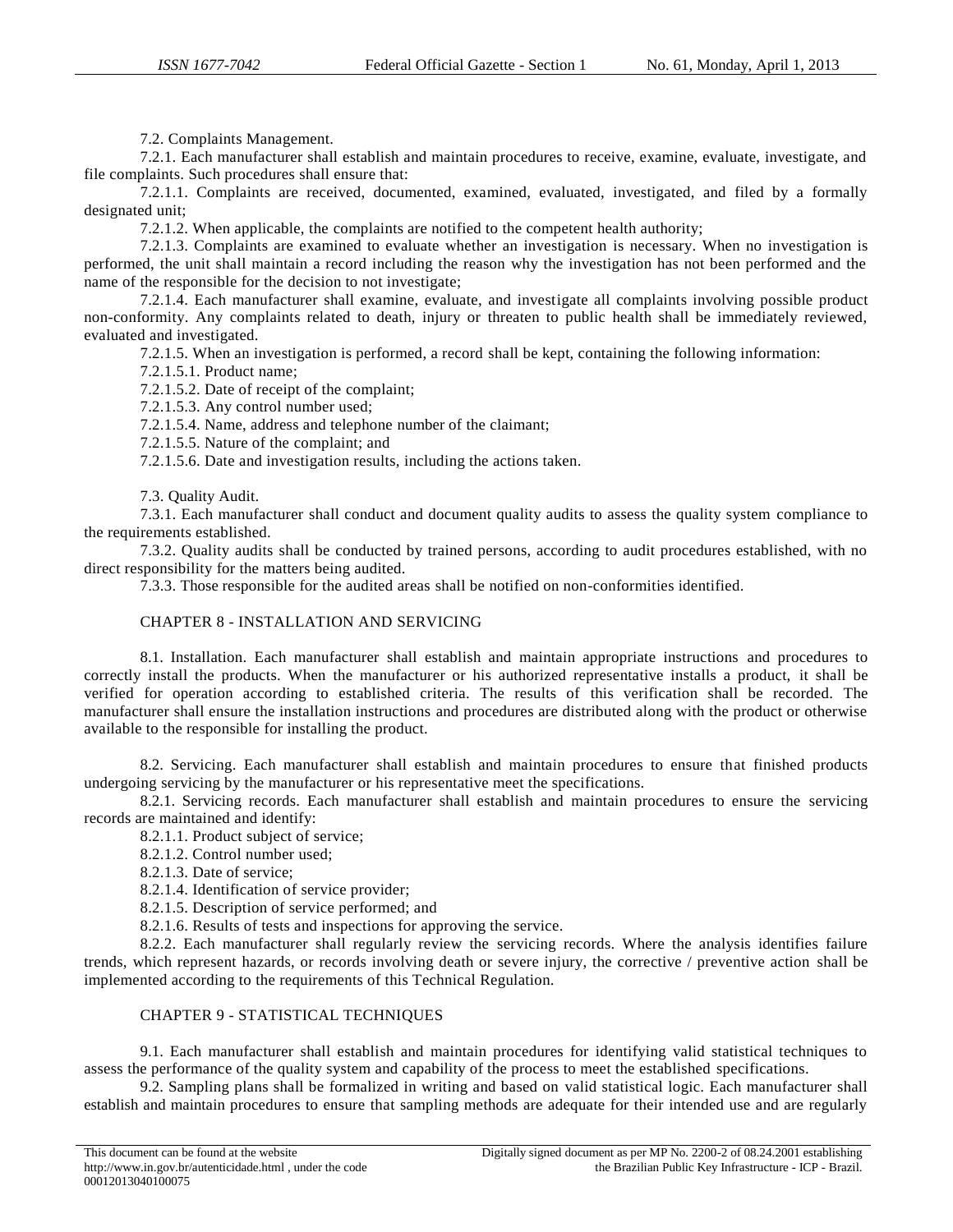7.2. Complaints Management.

7.2.1. Each manufacturer shall establish and maintain procedures to receive, examine, evaluate, investigate, and file complaints. Such procedures shall ensure that:

7.2.1.1. Complaints are received, documented, examined, evaluated, investigated, and filed by a formally designated unit;

7.2.1.2. When applicable, the complaints are notified to the competent health authority;

7.2.1.3. Complaints are examined to evaluate whether an investigation is necessary. When no investigation is performed, the unit shall maintain a record including the reason why the investigation has not been performed and the name of the responsible for the decision to not investigate;

7.2.1.4. Each manufacturer shall examine, evaluate, and investigate all complaints involving possible product non-conformity. Any complaints related to death, injury or threaten to public health shall be immediately reviewed, evaluated and investigated.

7.2.1.5. When an investigation is performed, a record shall be kept, containing the following information:

7.2.1.5.1. Product name;

7.2.1.5.2. Date of receipt of the complaint;

7.2.1.5.3. Any control number used;

7.2.1.5.4. Name, address and telephone number of the claimant;

7.2.1.5.5. Nature of the complaint; and

7.2.1.5.6. Date and investigation results, including the actions taken.

7.3. Quality Audit.

7.3.1. Each manufacturer shall conduct and document quality audits to assess the quality system compliance to the requirements established.

7.3.2. Quality audits shall be conducted by trained persons, according to audit procedures established, with no direct responsibility for the matters being audited.

7.3.3. Those responsible for the audited areas shall be notified on non-conformities identified.

### CHAPTER 8 - INSTALLATION AND SERVICING

8.1. Installation. Each manufacturer shall establish and maintain appropriate instructions and procedures to correctly install the products. When the manufacturer or his authorized representative installs a product, it shall be verified for operation according to established criteria. The results of this verification shall be recorded. The manufacturer shall ensure the installation instructions and procedures are distributed along with the product or otherwise available to the responsible for installing the product.

8.2. Servicing. Each manufacturer shall establish and maintain procedures to ensure that finished products undergoing servicing by the manufacturer or his representative meet the specifications.

8.2.1. Servicing records. Each manufacturer shall establish and maintain procedures to ensure the servicing records are maintained and identify:

8.2.1.1. Product subject of service;

8.2.1.2. Control number used;

8.2.1.3. Date of service;

8.2.1.4. Identification of service provider;

8.2.1.5. Description of service performed; and

8.2.1.6. Results of tests and inspections for approving the service.

8.2.2. Each manufacturer shall regularly review the servicing records. Where the analysis identifies failure trends, which represent hazards, or records involving death or severe injury, the corrective / preventive action shall be implemented according to the requirements of this Technical Regulation.

# CHAPTER 9 - STATISTICAL TECHNIQUES

9.1. Each manufacturer shall establish and maintain procedures for identifying valid statistical techniques to assess the performance of the quality system and capability of the process to meet the established specifications.

9.2. Sampling plans shall be formalized in writing and based on valid statistical logic. Each manufacturer shall establish and maintain procedures to ensure that sampling methods are adequate for their intended use and are regularly